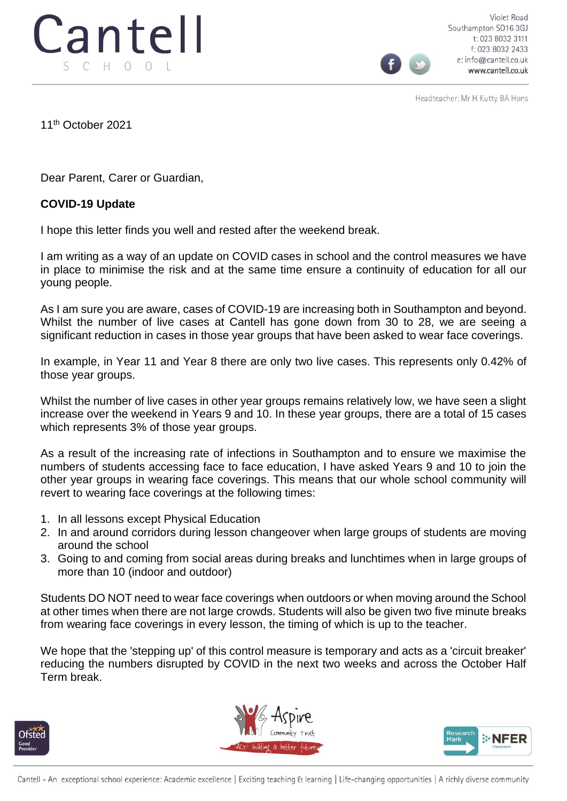

Violet Road Southampton SO16 3GJ t: 023 8032 3111 f: 023 8032 2433 e: info@cantell.co.uk www.cantell.co.uk

Headteacher: Mr H Kutty BA Hons

11th October 2021

Dear Parent, Carer or Guardian,

## **COVID-19 Update**

I hope this letter finds you well and rested after the weekend break.

I am writing as a way of an update on COVID cases in school and the control measures we have in place to minimise the risk and at the same time ensure a continuity of education for all our young people.

As I am sure you are aware, cases of COVID-19 are increasing both in Southampton and beyond. Whilst the number of live cases at Cantell has gone down from 30 to 28, we are seeing a significant reduction in cases in those year groups that have been asked to wear face coverings.

In example, in Year 11 and Year 8 there are only two live cases. This represents only 0.42% of those year groups.

Whilst the number of live cases in other year groups remains relatively low, we have seen a slight increase over the weekend in Years 9 and 10. In these year groups, there are a total of 15 cases which represents 3% of those year groups.

As a result of the increasing rate of infections in Southampton and to ensure we maximise the numbers of students accessing face to face education, I have asked Years 9 and 10 to join the other year groups in wearing face coverings. This means that our whole school community will revert to wearing face coverings at the following times:

- 1. In all lessons except Physical Education
- 2. In and around corridors during lesson changeover when large groups of students are moving around the school
- 3. Going to and coming from social areas during breaks and lunchtimes when in large groups of more than 10 (indoor and outdoor)

Students DO NOT need to wear face coverings when outdoors or when moving around the School at other times when there are not large crowds. Students will also be given two five minute breaks from wearing face coverings in every lesson, the timing of which is up to the teacher.

We hope that the 'stepping up' of this control measure is temporary and acts as a 'circuit breaker' reducing the numbers disrupted by COVID in the next two weeks and across the October Half Term break.